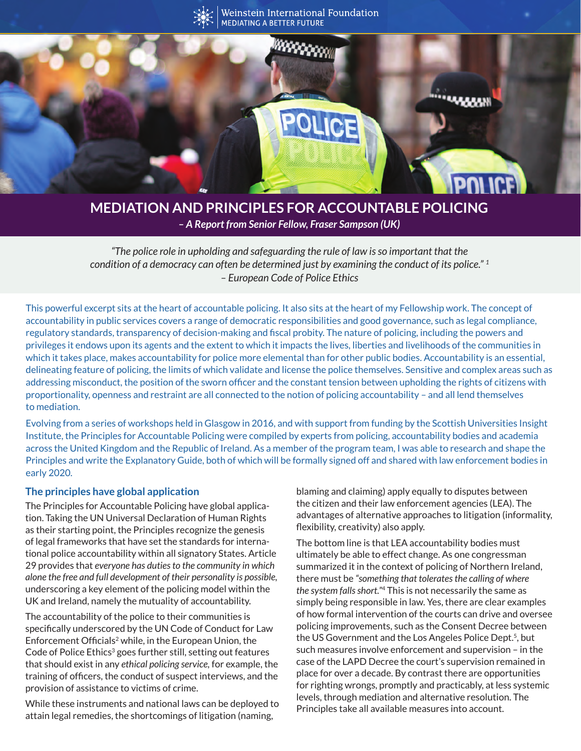

# **MEDIATION AND PRINCIPLES FOR ACCOUNTABLE POLICING**

*– A Report from Senior Fellow, Fraser Sampson (UK)*

*"The police role in upholding and safeguarding the rule of law is so important that the condition of a democracy can often be determined just by examining the conduct of its police." 1 – European Code of Police Ethics*

This powerful excerpt sits at the heart of accountable policing. It also sits at the heart of my Fellowship work. The concept of accountability in public services covers a range of democratic responsibilities and good governance, such as legal compliance, regulatory standards, transparency of decision-making and fiscal probity. The nature of policing, including the powers and privileges it endows upon its agents and the extent to which it impacts the lives, liberties and livelihoods of the communities in which it takes place, makes accountability for police more elemental than for other public bodies. Accountability is an essential, delineating feature of policing, the limits of which validate and license the police themselves. Sensitive and complex areas such as addressing misconduct, the position of the sworn officer and the constant tension between upholding the rights of citizens with proportionality, openness and restraint are all connected to the notion of policing accountability – and all lend themselves to mediation.

Evolving from a series of workshops held in Glasgow in 2016, and with support from funding by the Scottish Universities Insight Institute, the Principles for Accountable Policing were compiled by experts from policing, accountability bodies and academia across the United Kingdom and the Republic of Ireland. As a member of the program team, I was able to research and shape the Principles and write the Explanatory Guide, both of which will be formally signed off and shared with law enforcement bodies in early 2020.

#### **The principles have global application**

The Principles for Accountable Policing have global application. Taking the UN Universal Declaration of Human Rights as their starting point, the Principles recognize the genesis of legal frameworks that have set the standards for international police accountability within all signatory States. Article 29 provides that *everyone has duties to the community in which alone the free and full development of their personality is possible,*  underscoring a key element of the policing model within the UK and Ireland, namely the mutuality of accountability.

The accountability of the police to their communities is specifically underscored by the UN Code of Conduct for Law Enforcement Officials<sup>2</sup> while, in the European Union, the Code of Police Ethics<sup>3</sup> goes further still, setting out features that should exist in any *ethical policing service,* for example, the training of officers, the conduct of suspect interviews, and the provision of assistance to victims of crime.

While these instruments and national laws can be deployed to attain legal remedies, the shortcomings of litigation (naming,

blaming and claiming) apply equally to disputes between the citizen and their law enforcement agencies (LEA). The advantages of alternative approaches to litigation (informality, flexibility, creativity) also apply.

The bottom line is that LEA accountability bodies must ultimately be able to effect change. As one congressman summarized it in the context of policing of Northern Ireland, there must be *"something that tolerates the calling of where the system falls short."*4 This is not necessarily the same as simply being responsible in law. Yes, there are clear examples of how formal intervention of the courts can drive and oversee policing improvements, such as the Consent Decree between the US Government and the Los Angeles Police Dept.<sup>5</sup>, but such measures involve enforcement and supervision – in the case of the LAPD Decree the court's supervision remained in place for over a decade. By contrast there are opportunities for righting wrongs, promptly and practicably, at less systemic levels, through mediation and alternative resolution. The Principles take all available measures into account.